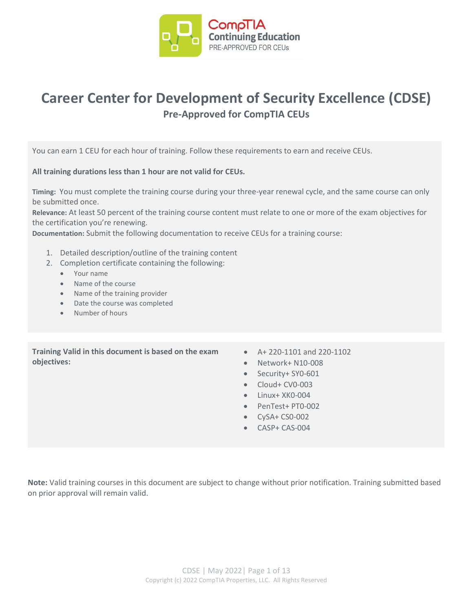

## **Career Center for Development of Security Excellence (CDSE) Pre-Approved for CompTIA CEUs**

You can earn 1 CEU for each hour of training. Follow these requirements to earn and receive CEUs.

**All training durations less than 1 hour are not valid for CEUs.**

**Timing:** You must complete the training course during your three-year renewal cycle, and the same course can only be submitted once.

**Relevance:** At least 50 percent of the training course content must relate to one or more of the exam objectives for the certification you're renewing.

**Documentation:** Submit the following documentation to receive CEUs for a training course:

- 1. Detailed description/outline of the training content
- 2. Completion certificate containing the following:
	- Your name
	- Name of the course
	- Name of the training provider
	- Date the course was completed
	- Number of hours

**Training Valid in this document is based on the exam objectives:**

- A+ 220-1101 and 220-1102
- Network+ N10-008
- Security+ SY0-601
- Cloud+ CV0-003
- Linux+ XK0-004
- PenTest+ PT0-002
- CySA+ CS0-002
- CASP+ CAS-004

**Note:** Valid training courses in this document are subject to change without prior notification. Training submitted based on prior approval will remain valid.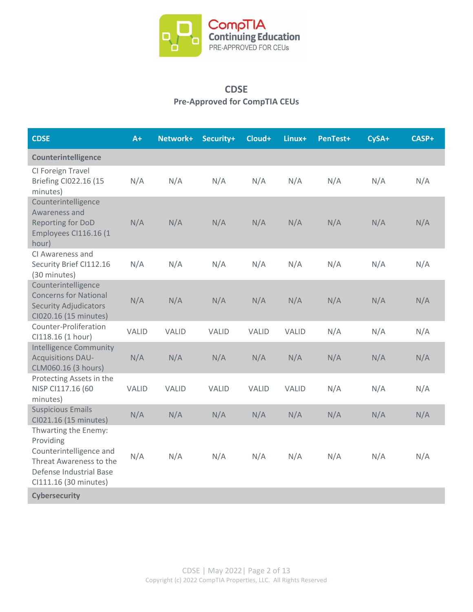

## **CDSE Pre-Approved for CompTIA CEUs**

| <b>CDSE</b>                                                                                                                                 | $A+$         | Network+     | Security+    | Cloud+       | Linux+ | PenTest+ | CySA+ | CASP+ |
|---------------------------------------------------------------------------------------------------------------------------------------------|--------------|--------------|--------------|--------------|--------|----------|-------|-------|
| Counterintelligence                                                                                                                         |              |              |              |              |        |          |       |       |
| CI Foreign Travel<br><b>Briefing CI022.16 (15</b><br>minutes)                                                                               | N/A          | N/A          | N/A          | N/A          | N/A    | N/A      | N/A   | N/A   |
| Counterintelligence<br>Awareness and<br>Reporting for DoD<br>Employees CI116.16 (1<br>hour)                                                 | N/A          | N/A          | N/A          | N/A          | N/A    | N/A      | N/A   | N/A   |
| CI Awareness and<br>Security Brief Cl112.16<br>(30 minutes)                                                                                 | N/A          | N/A          | N/A          | N/A          | N/A    | N/A      | N/A   | N/A   |
| Counterintelligence<br><b>Concerns for National</b><br><b>Security Adjudicators</b><br>CI020.16 (15 minutes)                                | N/A          | N/A          | N/A          | N/A          | N/A    | N/A      | N/A   | N/A   |
| Counter-Proliferation<br>Cl118.16 (1 hour)                                                                                                  | <b>VALID</b> | <b>VALID</b> | <b>VALID</b> | VALID        | VALID  | N/A      | N/A   | N/A   |
| <b>Intelligence Community</b><br><b>Acquisitions DAU-</b><br>CLM060.16 (3 hours)                                                            | N/A          | N/A          | N/A          | N/A          | N/A    | N/A      | N/A   | N/A   |
| Protecting Assets in the<br>NISP CI117.16 (60<br>minutes)                                                                                   | <b>VALID</b> | <b>VALID</b> | <b>VALID</b> | <b>VALID</b> | VALID  | N/A      | N/A   | N/A   |
| <b>Suspicious Emails</b><br>CI021.16 (15 minutes)                                                                                           | N/A          | N/A          | N/A          | N/A          | N/A    | N/A      | N/A   | N/A   |
| Thwarting the Enemy:<br>Providing<br>Counterintelligence and<br>Threat Awareness to the<br>Defense Industrial Base<br>CI111.16 (30 minutes) | N/A          | N/A          | N/A          | N/A          | N/A    | N/A      | N/A   | N/A   |
| <b>Cybersecurity</b>                                                                                                                        |              |              |              |              |        |          |       |       |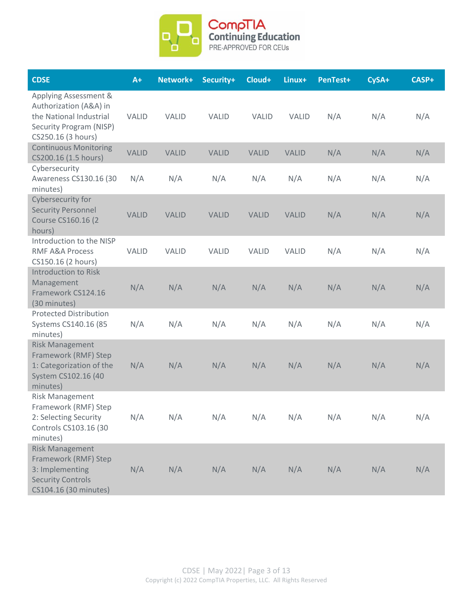

| <b>CDSE</b>                                                                                                                        | $A+$         | Network+     | Security+    | Cloud+       | Linux+       | PenTest+ | CySA+ | CASP+ |
|------------------------------------------------------------------------------------------------------------------------------------|--------------|--------------|--------------|--------------|--------------|----------|-------|-------|
| Applying Assessment &<br>Authorization (A&A) in<br>the National Industrial<br><b>Security Program (NISP)</b><br>CS250.16 (3 hours) | <b>VALID</b> | <b>VALID</b> | <b>VALID</b> | <b>VALID</b> | <b>VALID</b> | N/A      | N/A   | N/A   |
| <b>Continuous Monitoring</b><br>CS200.16 (1.5 hours)                                                                               | <b>VALID</b> | <b>VALID</b> | <b>VALID</b> | <b>VALID</b> | <b>VALID</b> | N/A      | N/A   | N/A   |
| Cybersecurity<br>Awareness CS130.16 (30<br>minutes)                                                                                | N/A          | N/A          | N/A          | N/A          | N/A          | N/A      | N/A   | N/A   |
| Cybersecurity for<br><b>Security Personnel</b><br>Course CS160.16 (2)<br>hours)                                                    | <b>VALID</b> | <b>VALID</b> | <b>VALID</b> | <b>VALID</b> | <b>VALID</b> | N/A      | N/A   | N/A   |
| Introduction to the NISP<br><b>RMF A&amp;A Process</b><br>CS150.16 (2 hours)                                                       | <b>VALID</b> | <b>VALID</b> | <b>VALID</b> | <b>VALID</b> | <b>VALID</b> | N/A      | N/A   | N/A   |
| <b>Introduction to Risk</b><br>Management<br>Framework CS124.16<br>(30 minutes)                                                    | N/A          | N/A          | N/A          | N/A          | N/A          | N/A      | N/A   | N/A   |
| <b>Protected Distribution</b><br>Systems CS140.16 (85<br>minutes)                                                                  | N/A          | N/A          | N/A          | N/A          | N/A          | N/A      | N/A   | N/A   |
| <b>Risk Management</b><br>Framework (RMF) Step<br>1: Categorization of the<br>System CS102.16 (40<br>minutes)                      | N/A          | N/A          | N/A          | N/A          | N/A          | N/A      | N/A   | N/A   |
| Risk Management<br>Framework (RMF) Step<br>2: Selecting Security<br>Controls CS103.16 (30<br>minutes)                              | N/A          | N/A          | N/A          | N/A          | N/A          | N/A      | N/A   | N/A   |
| <b>Risk Management</b><br>Framework (RMF) Step<br>3: Implementing<br><b>Security Controls</b><br>CS104.16 (30 minutes)             | N/A          | N/A          | N/A          | N/A          | N/A          | N/A      | N/A   | N/A   |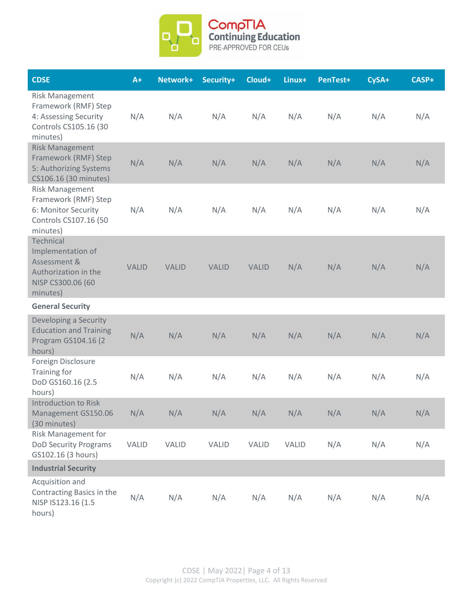

| <b>CDSE</b>                                                                                                  | $A+$         | Network+     | Security+    | Cloud+       | Linux+ | PenTest+ | CySA+ | CASP+ |
|--------------------------------------------------------------------------------------------------------------|--------------|--------------|--------------|--------------|--------|----------|-------|-------|
| <b>Risk Management</b><br>Framework (RMF) Step<br>4: Assessing Security<br>Controls CS105.16 (30<br>minutes) | N/A          | N/A          | N/A          | N/A          | N/A    | N/A      | N/A   | N/A   |
| <b>Risk Management</b><br>Framework (RMF) Step<br>5: Authorizing Systems<br>CS106.16 (30 minutes)            | N/A          | N/A          | N/A          | N/A          | N/A    | N/A      | N/A   | N/A   |
| <b>Risk Management</b><br>Framework (RMF) Step<br>6: Monitor Security<br>Controls CS107.16 (50<br>minutes)   | N/A          | N/A          | N/A          | N/A          | N/A    | N/A      | N/A   | N/A   |
| Technical<br>Implementation of<br>Assessment &<br>Authorization in the<br>NISP CS300.06 (60<br>minutes)      | <b>VALID</b> | <b>VALID</b> | <b>VALID</b> | <b>VALID</b> | N/A    | N/A      | N/A   | N/A   |
| <b>General Security</b>                                                                                      |              |              |              |              |        |          |       |       |
| Developing a Security<br><b>Education and Training</b><br>Program GS104.16 (2<br>hours)                      | N/A          | N/A          | N/A          | N/A          | N/A    | N/A      | N/A   | N/A   |
| Foreign Disclosure<br>Training for<br>DoD GS160.16 (2.5<br>hours)                                            | N/A          | N/A          | N/A          | N/A          | N/A    | N/A      | N/A   | N/A   |
| <b>Introduction to Risk</b><br>Management GS150.06<br>(30 minutes)                                           | N/A          | N/A          | N/A          | N/A          | N/A    | N/A      | N/A   | N/A   |
| Risk Management for<br><b>DoD Security Programs</b><br>GS102.16 (3 hours)                                    | VALID        | <b>VALID</b> | <b>VALID</b> | VALID        | VALID  | N/A      | N/A   | N/A   |
| <b>Industrial Security</b>                                                                                   |              |              |              |              |        |          |       |       |
| Acquisition and<br>Contracting Basics in the<br>NISP IS123.16 (1.5<br>hours)                                 | N/A          | N/A          | N/A          | N/A          | N/A    | N/A      | N/A   | N/A   |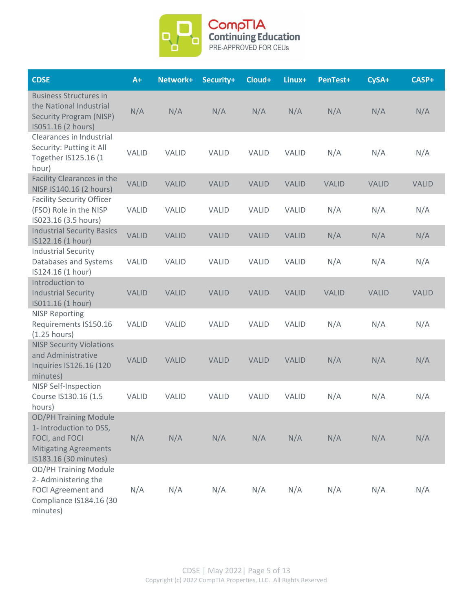

| <b>CDSE</b>                                                                                                                        | $A+$         | Network+     | Security+    | Cloud+       | Linux+       | PenTest+     | CySA+        | CASP+        |
|------------------------------------------------------------------------------------------------------------------------------------|--------------|--------------|--------------|--------------|--------------|--------------|--------------|--------------|
| <b>Business Structures in</b><br>the National Industrial<br><b>Security Program (NISP)</b><br>IS051.16 (2 hours)                   | N/A          | N/A          | N/A          | N/A          | N/A          | N/A          | N/A          | N/A          |
| Clearances in Industrial<br>Security: Putting it All<br>Together IS125.16 (1<br>hour)                                              | <b>VALID</b> | <b>VALID</b> | <b>VALID</b> | <b>VALID</b> | <b>VALID</b> | N/A          | N/A          | N/A          |
| Facility Clearances in the<br>NISP IS140.16 (2 hours)                                                                              | <b>VALID</b> | <b>VALID</b> | <b>VALID</b> | <b>VALID</b> | <b>VALID</b> | <b>VALID</b> | <b>VALID</b> | <b>VALID</b> |
| <b>Facility Security Officer</b><br>(FSO) Role in the NISP<br>IS023.16 (3.5 hours)                                                 | <b>VALID</b> | <b>VALID</b> | <b>VALID</b> | <b>VALID</b> | <b>VALID</b> | N/A          | N/A          | N/A          |
| <b>Industrial Security Basics</b><br>IS122.16 (1 hour)                                                                             | <b>VALID</b> | <b>VALID</b> | <b>VALID</b> | <b>VALID</b> | <b>VALID</b> | N/A          | N/A          | N/A          |
| <b>Industrial Security</b><br>Databases and Systems<br>IS124.16 (1 hour)                                                           | <b>VALID</b> | <b>VALID</b> | <b>VALID</b> | <b>VALID</b> | <b>VALID</b> | N/A          | N/A          | N/A          |
| Introduction to<br><b>Industrial Security</b><br>IS011.16 (1 hour)                                                                 | <b>VALID</b> | <b>VALID</b> | <b>VALID</b> | <b>VALID</b> | <b>VALID</b> | <b>VALID</b> | <b>VALID</b> | <b>VALID</b> |
| <b>NISP Reporting</b><br>Requirements IS150.16<br>(1.25 hours)                                                                     | <b>VALID</b> | VALID        | <b>VALID</b> | <b>VALID</b> | <b>VALID</b> | N/A          | N/A          | N/A          |
| <b>NISP Security Violations</b><br>and Administrative<br>Inquiries IS126.16 (120<br>minutes)                                       | <b>VALID</b> | <b>VALID</b> | <b>VALID</b> | <b>VALID</b> | <b>VALID</b> | N/A          | N/A          | N/A          |
| <b>NISP Self-Inspection</b><br>Course IS130.16 (1.5<br>hours)                                                                      | <b>VALID</b> | <b>VALID</b> | <b>VALID</b> | <b>VALID</b> | <b>VALID</b> | N/A          | N/A          | N/A          |
| <b>OD/PH Training Module</b><br>1- Introduction to DSS,<br>FOCI, and FOCI<br><b>Mitigating Agreements</b><br>IS183.16 (30 minutes) | N/A          | N/A          | N/A          | N/A          | N/A          | N/A          | N/A          | N/A          |
| <b>OD/PH Training Module</b><br>2- Administering the<br><b>FOCI Agreement and</b><br>Compliance IS184.16 (30<br>minutes)           | N/A          | N/A          | N/A          | N/A          | N/A          | N/A          | N/A          | N/A          |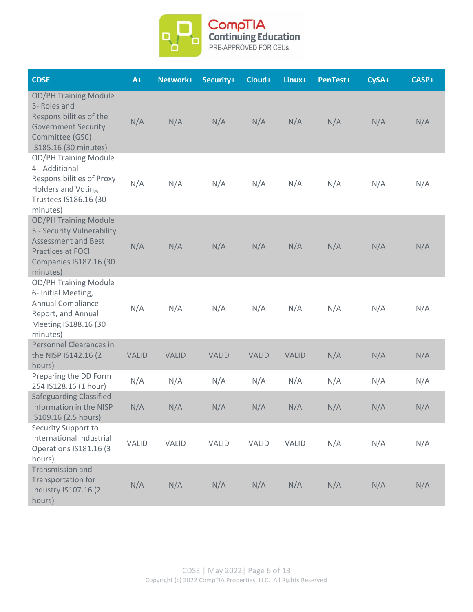

| <b>CDSE</b>                                                                                                                                                | $A+$         | Network+     | Security+    | Cloud+       | Linux+       | PenTest+ | CySA+ | CASP+ |
|------------------------------------------------------------------------------------------------------------------------------------------------------------|--------------|--------------|--------------|--------------|--------------|----------|-------|-------|
| <b>OD/PH Training Module</b><br>3- Roles and<br>Responsibilities of the<br><b>Government Security</b><br>Committee (GSC)<br>IS185.16 (30 minutes)          | N/A          | N/A          | N/A          | N/A          | N/A          | N/A      | N/A   | N/A   |
| <b>OD/PH Training Module</b><br>4 - Additional<br><b>Responsibilities of Proxy</b><br><b>Holders and Voting</b><br>Trustees IS186.16 (30<br>minutes)       | N/A          | N/A          | N/A          | N/A          | N/A          | N/A      | N/A   | N/A   |
| <b>OD/PH Training Module</b><br>5 - Security Vulnerability<br><b>Assessment and Best</b><br>Practices at FOCI<br><b>Companies IS187.16 (30</b><br>minutes) | N/A          | N/A          | N/A          | N/A          | N/A          | N/A      | N/A   | N/A   |
| <b>OD/PH Training Module</b><br>6- Initial Meeting,<br>Annual Compliance<br>Report, and Annual<br>Meeting IS188.16 (30<br>minutes)                         | N/A          | N/A          | N/A          | N/A          | N/A          | N/A      | N/A   | N/A   |
| Personnel Clearances in<br>the NISP IS142.16 (2)<br>hours)                                                                                                 | <b>VALID</b> | <b>VALID</b> | <b>VALID</b> | <b>VALID</b> | <b>VALID</b> | N/A      | N/A   | N/A   |
| Preparing the DD Form<br>254 IS128.16 (1 hour)                                                                                                             | N/A          | N/A          | N/A          | N/A          | N/A          | N/A      | N/A   | N/A   |
| <b>Safeguarding Classified</b><br>Information in the NISP<br>IS109.16 (2.5 hours)                                                                          | N/A          | N/A          | N/A          | N/A          | N/A          | N/A      | N/A   | N/A   |
| Security Support to<br>International Industrial<br>Operations IS181.16 (3<br>hours)                                                                        | VALID        | <b>VALID</b> | <b>VALID</b> | <b>VALID</b> | <b>VALID</b> | N/A      | N/A   | N/A   |
| Transmission and<br>Transportation for<br><b>Industry IS107.16 (2)</b><br>hours)                                                                           | N/A          | N/A          | N/A          | N/A          | N/A          | N/A      | N/A   | N/A   |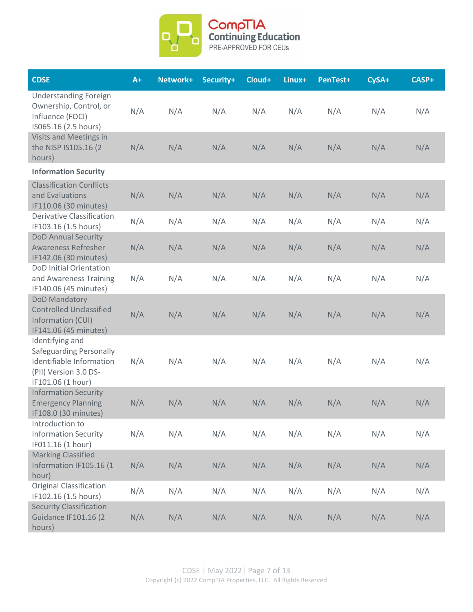

| <b>CDSE</b>                                                                                                          | $A+$ | Network+ | Security+ | Cloud+ | Linux+ | PenTest+ | CySA+ | CASP+ |
|----------------------------------------------------------------------------------------------------------------------|------|----------|-----------|--------|--------|----------|-------|-------|
| <b>Understanding Foreign</b><br>Ownership, Control, or<br>Influence (FOCI)<br>IS065.16 (2.5 hours)                   | N/A  | N/A      | N/A       | N/A    | N/A    | N/A      | N/A   | N/A   |
| Visits and Meetings in<br>the NISP IS105.16 (2)<br>hours)                                                            | N/A  | N/A      | N/A       | N/A    | N/A    | N/A      | N/A   | N/A   |
| <b>Information Security</b>                                                                                          |      |          |           |        |        |          |       |       |
| <b>Classification Conflicts</b><br>and Evaluations<br>IF110.06 (30 minutes)                                          | N/A  | N/A      | N/A       | N/A    | N/A    | N/A      | N/A   | N/A   |
| <b>Derivative Classification</b><br>IF103.16 (1.5 hours)                                                             | N/A  | N/A      | N/A       | N/A    | N/A    | N/A      | N/A   | N/A   |
| <b>DoD Annual Security</b><br><b>Awareness Refresher</b><br>IF142.06 (30 minutes)                                    | N/A  | N/A      | N/A       | N/A    | N/A    | N/A      | N/A   | N/A   |
| DoD Initial Orientation<br>and Awareness Training<br>IF140.06 (45 minutes)                                           | N/A  | N/A      | N/A       | N/A    | N/A    | N/A      | N/A   | N/A   |
| DoD Mandatory<br><b>Controlled Unclassified</b><br>Information (CUI)<br>IF141.06 (45 minutes)                        | N/A  | N/A      | N/A       | N/A    | N/A    | N/A      | N/A   | N/A   |
| Identifying and<br>Safeguarding Personally<br>Identifiable Information<br>(PII) Version 3.0 DS-<br>IF101.06 (1 hour) | N/A  | N/A      | N/A       | N/A    | N/A    | N/A      | N/A   | N/A   |
| <b>Information Security</b><br><b>Emergency Planning</b><br>IF108.0 (30 minutes)                                     | N/A  | N/A      | N/A       | N/A    | N/A    | N/A      | N/A   | N/A   |
| Introduction to<br><b>Information Security</b><br>IF011.16 (1 hour)                                                  | N/A  | N/A      | N/A       | N/A    | N/A    | N/A      | N/A   | N/A   |
| <b>Marking Classified</b><br>Information IF105.16 (1<br>hour)                                                        | N/A  | N/A      | N/A       | N/A    | N/A    | N/A      | N/A   | N/A   |
| <b>Original Classification</b><br>IF102.16 (1.5 hours)                                                               | N/A  | N/A      | N/A       | N/A    | N/A    | N/A      | N/A   | N/A   |
| <b>Security Classification</b><br><b>Guidance IF101.16 (2)</b><br>hours)                                             | N/A  | N/A      | N/A       | N/A    | N/A    | N/A      | N/A   | N/A   |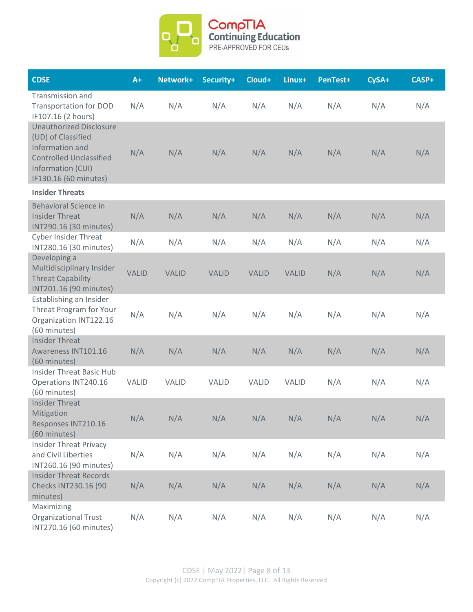

| <b>CDSE</b>                                                                                                                                             | $A+$         | Network+     | Security+    | Cloud+       | Linux+       | PenTest+ | CySA+ | CASP+ |
|---------------------------------------------------------------------------------------------------------------------------------------------------------|--------------|--------------|--------------|--------------|--------------|----------|-------|-------|
| <b>Transmission and</b><br><b>Transportation for DOD</b><br>IF107.16 (2 hours)                                                                          | N/A          | N/A          | N/A          | N/A          | N/A          | N/A      | N/A   | N/A   |
| <b>Unauthorized Disclosure</b><br>(UD) of Classified<br>Information and<br><b>Controlled Unclassified</b><br>Information (CUI)<br>IF130.16 (60 minutes) | N/A          | N/A          | N/A          | N/A          | N/A          | N/A      | N/A   | N/A   |
| <b>Insider Threats</b>                                                                                                                                  |              |              |              |              |              |          |       |       |
| <b>Behavioral Science in</b><br><b>Insider Threat</b><br>INT290.16 (30 minutes)                                                                         | N/A          | N/A          | N/A          | N/A          | N/A          | N/A      | N/A   | N/A   |
| <b>Cyber Insider Threat</b><br>INT280.16 (30 minutes)                                                                                                   | N/A          | N/A          | N/A          | N/A          | N/A          | N/A      | N/A   | N/A   |
| Developing a<br>Multidisciplinary Insider<br><b>Threat Capability</b><br>INT201.16 (90 minutes)                                                         | <b>VALID</b> | <b>VALID</b> | <b>VALID</b> | <b>VALID</b> | <b>VALID</b> | N/A      | N/A   | N/A   |
| Establishing an Insider<br>Threat Program for Your<br>Organization INT122.16<br>(60 minutes)                                                            | N/A          | N/A          | N/A          | N/A          | N/A          | N/A      | N/A   | N/A   |
| <b>Insider Threat</b><br>Awareness INT101.16<br>(60 minutes)                                                                                            | N/A          | N/A          | N/A          | N/A          | N/A          | N/A      | N/A   | N/A   |
| <b>Insider Threat Basic Hub</b><br>Operations INT240.16<br>(60 minutes)                                                                                 | <b>VALID</b> | <b>VALID</b> | <b>VALID</b> | <b>VALID</b> | <b>VALID</b> | N/A      | N/A   | N/A   |
| <b>Insider Threat</b><br>Mitigation<br>Responses INT210.16<br>(60 minutes)                                                                              | N/A          | N/A          | N/A          | N/A          | N/A          | N/A      | N/A   | N/A   |
| <b>Insider Threat Privacy</b><br>and Civil Liberties<br>INT260.16 (90 minutes)                                                                          | N/A          | N/A          | N/A          | N/A          | N/A          | N/A      | N/A   | N/A   |
| <b>Insider Threat Records</b><br>Checks INT230.16 (90<br>minutes)                                                                                       | N/A          | N/A          | N/A          | N/A          | N/A          | N/A      | N/A   | N/A   |
| Maximizing<br><b>Organizational Trust</b><br>INT270.16 (60 minutes)                                                                                     | N/A          | N/A          | N/A          | N/A          | N/A          | N/A      | N/A   | N/A   |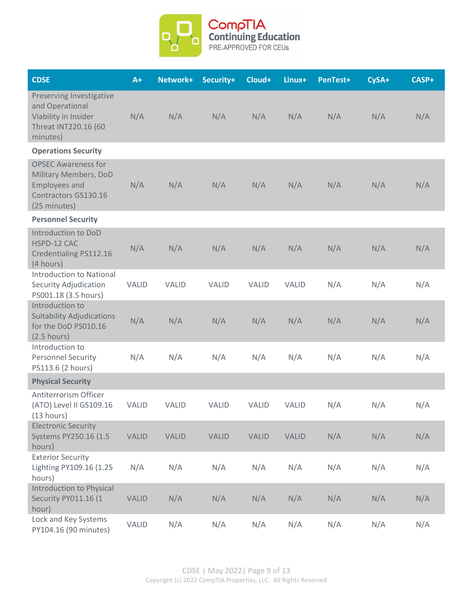

| <b>CDSE</b>                                                                                                         | $A+$         | Network+     | Security+    | Cloud+       | Linux+       | PenTest+ | CySA+ | CASP+ |
|---------------------------------------------------------------------------------------------------------------------|--------------|--------------|--------------|--------------|--------------|----------|-------|-------|
| Preserving Investigative<br>and Operational<br>Viability in Insider<br>Threat INT220.16 (60<br>minutes)             | N/A          | N/A          | N/A          | N/A          | N/A          | N/A      | N/A   | N/A   |
| <b>Operations Security</b>                                                                                          |              |              |              |              |              |          |       |       |
| <b>OPSEC Awareness for</b><br>Military Members, DoD<br><b>Employees and</b><br>Contractors GS130.16<br>(25 minutes) | N/A          | N/A          | N/A          | N/A          | N/A          | N/A      | N/A   | N/A   |
| <b>Personnel Security</b>                                                                                           |              |              |              |              |              |          |       |       |
| Introduction to DoD<br>HSPD-12 CAC<br>Credentialing PS112.16<br>(4 hours)                                           | N/A          | N/A          | N/A          | N/A          | N/A          | N/A      | N/A   | N/A   |
| <b>Introduction to National</b><br>Security Adjudication<br>PS001.18 (3.5 hours)                                    | <b>VALID</b> | <b>VALID</b> | <b>VALID</b> | <b>VALID</b> | <b>VALID</b> | N/A      | N/A   | N/A   |
| Introduction to<br><b>Suitability Adjudications</b><br>for the DoD PS010.16<br>$(2.5$ hours)                        | N/A          | N/A          | N/A          | N/A          | N/A          | N/A      | N/A   | N/A   |
| Introduction to<br><b>Personnel Security</b><br>PS113.6 (2 hours)                                                   | N/A          | N/A          | N/A          | N/A          | N/A          | N/A      | N/A   | N/A   |
| <b>Physical Security</b>                                                                                            |              |              |              |              |              |          |       |       |
| Antiterrorism Officer<br>(ATO) Level II GS109.16<br>(13 hours)                                                      | <b>VALID</b> | <b>VALID</b> | <b>VALID</b> | <b>VALID</b> | <b>VALID</b> | N/A      | N/A   | N/A   |
| <b>Electronic Security</b><br>Systems PY250.16 (1.5<br>hours)                                                       | <b>VALID</b> | <b>VALID</b> | <b>VALID</b> | <b>VALID</b> | <b>VALID</b> | N/A      | N/A   | N/A   |
| <b>Exterior Security</b><br>Lighting PY109.16 (1.25<br>hours)                                                       | N/A          | N/A          | N/A          | N/A          | N/A          | N/A      | N/A   | N/A   |
| <b>Introduction to Physical</b><br>Security PY011.16 (1<br>hour)                                                    | <b>VALID</b> | N/A          | N/A          | N/A          | N/A          | N/A      | N/A   | N/A   |
| Lock and Key Systems<br>PY104.16 (90 minutes)                                                                       | <b>VALID</b> | N/A          | N/A          | N/A          | N/A          | N/A      | N/A   | N/A   |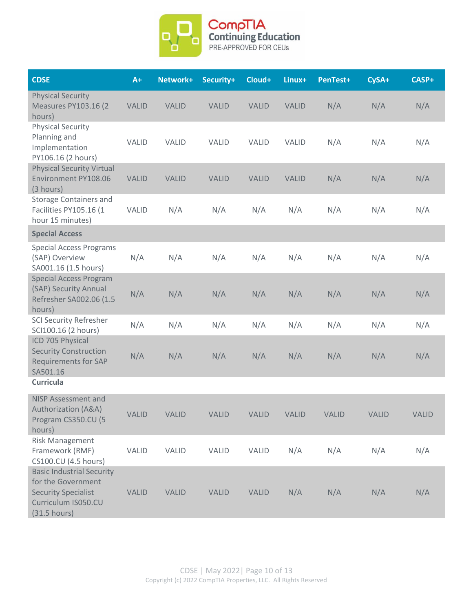

| <b>CDSE</b>                                                                                                                 | $A+$         | Network+     | Security+    | Cloud+       | Linux+       | PenTest+     | CySA+        | CASP+        |
|-----------------------------------------------------------------------------------------------------------------------------|--------------|--------------|--------------|--------------|--------------|--------------|--------------|--------------|
| <b>Physical Security</b><br><b>Measures PY103.16 (2)</b><br>hours)                                                          | <b>VALID</b> | <b>VALID</b> | <b>VALID</b> | <b>VALID</b> | <b>VALID</b> | N/A          | N/A          | N/A          |
| <b>Physical Security</b><br>Planning and<br>Implementation<br>PY106.16 (2 hours)                                            | <b>VALID</b> | <b>VALID</b> | <b>VALID</b> | <b>VALID</b> | <b>VALID</b> | N/A          | N/A          | N/A          |
| <b>Physical Security Virtual</b><br>Environment PY108.06<br>(3 hours)                                                       | <b>VALID</b> | <b>VALID</b> | <b>VALID</b> | <b>VALID</b> | <b>VALID</b> | N/A          | N/A          | N/A          |
| <b>Storage Containers and</b><br>Facilities PY105.16 (1<br>hour 15 minutes)                                                 | <b>VALID</b> | N/A          | N/A          | N/A          | N/A          | N/A          | N/A          | N/A          |
| <b>Special Access</b>                                                                                                       |              |              |              |              |              |              |              |              |
| <b>Special Access Programs</b><br>(SAP) Overview<br>SA001.16 (1.5 hours)                                                    | N/A          | N/A          | N/A          | N/A          | N/A          | N/A          | N/A          | N/A          |
| <b>Special Access Program</b><br>(SAP) Security Annual<br>Refresher SA002.06 (1.5<br>hours)                                 | N/A          | N/A          | N/A          | N/A          | N/A          | N/A          | N/A          | N/A          |
| <b>SCI Security Refresher</b><br>SCI100.16 (2 hours)                                                                        | N/A          | N/A          | N/A          | N/A          | N/A          | N/A          | N/A          | N/A          |
| ICD 705 Physical<br><b>Security Construction</b><br><b>Requirements for SAP</b><br>SA501.16                                 | N/A          | N/A          | N/A          | N/A          | N/A          | N/A          | N/A          | N/A          |
| <b>Curricula</b>                                                                                                            |              |              |              |              |              |              |              |              |
| <b>NISP Assessment and</b><br><b>Authorization (A&amp;A)</b><br>Program CS350.CU (5<br>hours)                               | <b>VALID</b> | <b>VALID</b> | <b>VALID</b> | <b>VALID</b> | <b>VALID</b> | <b>VALID</b> | <b>VALID</b> | <b>VALID</b> |
| <b>Risk Management</b><br>Framework (RMF)<br>CS100.CU (4.5 hours)                                                           | <b>VALID</b> | VALID        | VALID        | <b>VALID</b> | N/A          | N/A          | N/A          | N/A          |
| <b>Basic Industrial Security</b><br>for the Government<br><b>Security Specialist</b><br>Curriculum IS050.CU<br>(31.5 hours) | <b>VALID</b> | <b>VALID</b> | <b>VALID</b> | <b>VALID</b> | N/A          | N/A          | N/A          | N/A          |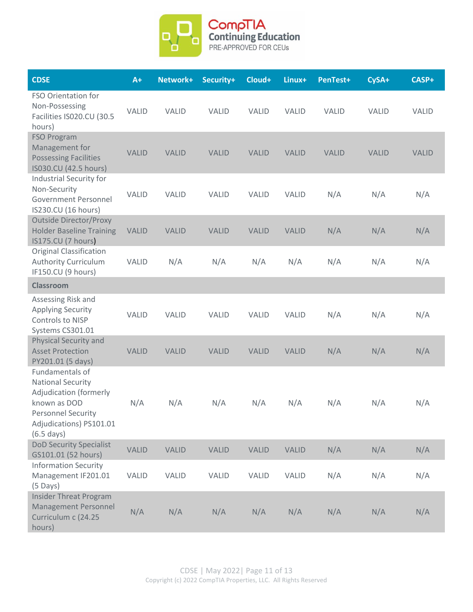

| <b>CDSE</b>                                                                                                                                                                  | $A+$         | Network+     | Security+    | Cloud+       | Linux+       | PenTest+     | CySA+        | CASP+        |
|------------------------------------------------------------------------------------------------------------------------------------------------------------------------------|--------------|--------------|--------------|--------------|--------------|--------------|--------------|--------------|
| FSO Orientation for<br>Non-Possessing<br>Facilities IS020.CU (30.5<br>hours)                                                                                                 | <b>VALID</b> | <b>VALID</b> | <b>VALID</b> | <b>VALID</b> | <b>VALID</b> | <b>VALID</b> | <b>VALID</b> | <b>VALID</b> |
| <b>FSO Program</b><br>Management for<br><b>Possessing Facilities</b><br>IS030.CU (42.5 hours)                                                                                | <b>VALID</b> | <b>VALID</b> | <b>VALID</b> | <b>VALID</b> | <b>VALID</b> | <b>VALID</b> | <b>VALID</b> | <b>VALID</b> |
| Industrial Security for<br>Non-Security<br><b>Government Personnel</b><br>IS230.CU (16 hours)                                                                                | <b>VALID</b> | <b>VALID</b> | <b>VALID</b> | <b>VALID</b> | <b>VALID</b> | N/A          | N/A          | N/A          |
| <b>Outside Director/Proxy</b><br><b>Holder Baseline Training</b><br>IS175.CU (7 hours)                                                                                       | <b>VALID</b> | <b>VALID</b> | <b>VALID</b> | <b>VALID</b> | <b>VALID</b> | N/A          | N/A          | N/A          |
| <b>Original Classification</b><br><b>Authority Curriculum</b><br>IF150.CU (9 hours)                                                                                          | <b>VALID</b> | N/A          | N/A          | N/A          | N/A          | N/A          | N/A          | N/A          |
| <b>Classroom</b>                                                                                                                                                             |              |              |              |              |              |              |              |              |
| Assessing Risk and<br><b>Applying Security</b><br>Controls to NISP<br>Systems CS301.01                                                                                       | <b>VALID</b> | <b>VALID</b> | <b>VALID</b> | <b>VALID</b> | <b>VALID</b> | N/A          | N/A          | N/A          |
| <b>Physical Security and</b><br><b>Asset Protection</b><br>PY201.01 (5 days)                                                                                                 | <b>VALID</b> | <b>VALID</b> | <b>VALID</b> | <b>VALID</b> | <b>VALID</b> | N/A          | N/A          | N/A          |
| Fundamentals of<br><b>National Security</b><br><b>Adjudication (formerly</b><br>known as DOD<br><b>Personnel Security</b><br>Adjudications) PS101.01<br>$(6.5 \text{ days})$ | N/A          | N/A          | N/A          | N/A          | N/A          | N/A          | N/A          | N/A          |
| <b>DoD Security Specialist</b><br>GS101.01 (52 hours)                                                                                                                        | <b>VALID</b> | <b>VALID</b> | <b>VALID</b> | <b>VALID</b> | <b>VALID</b> | N/A          | N/A          | N/A          |
| <b>Information Security</b><br>Management IF201.01<br>$(5$ Days)                                                                                                             | VALID        | VALID        | VALID        | <b>VALID</b> | <b>VALID</b> | N/A          | N/A          | N/A          |
| <b>Insider Threat Program</b><br>Management Personnel<br>Curriculum c (24.25<br>hours)                                                                                       | N/A          | N/A          | N/A          | N/A          | N/A          | N/A          | N/A          | N/A          |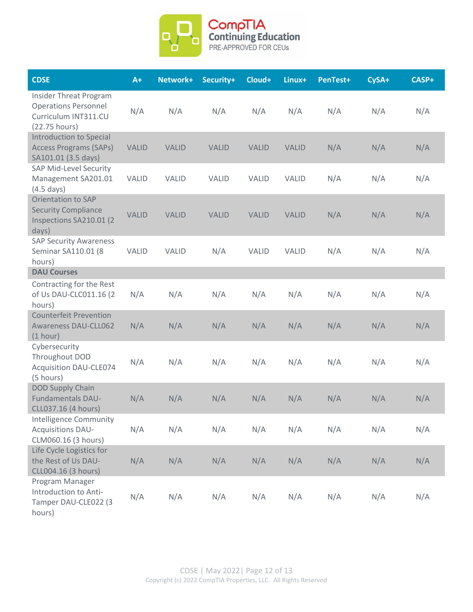

| <b>CDSE</b>                                                                                           | $A+$         | Network+     | Security+    | Cloud+       | Linux+       | PenTest+ | CySA+ | CASP+ |
|-------------------------------------------------------------------------------------------------------|--------------|--------------|--------------|--------------|--------------|----------|-------|-------|
| <b>Insider Threat Program</b><br><b>Operations Personnel</b><br>Curriculum INT311.CU<br>(22.75 hours) | N/A          | N/A          | N/A          | N/A          | N/A          | N/A      | N/A   | N/A   |
| Introduction to Special<br><b>Access Programs (SAPs)</b><br>SA101.01 (3.5 days)                       | <b>VALID</b> | <b>VALID</b> | <b>VALID</b> | <b>VALID</b> | <b>VALID</b> | N/A      | N/A   | N/A   |
| <b>SAP Mid-Level Security</b><br>Management SA201.01<br>$(4.5 \text{ days})$                          | <b>VALID</b> | <b>VALID</b> | <b>VALID</b> | <b>VALID</b> | <b>VALID</b> | N/A      | N/A   | N/A   |
| <b>Orientation to SAP</b><br><b>Security Compliance</b><br>Inspections SA210.01 (2<br>days)           | <b>VALID</b> | <b>VALID</b> | <b>VALID</b> | <b>VALID</b> | <b>VALID</b> | N/A      | N/A   | N/A   |
| <b>SAP Security Awareness</b><br>Seminar SA110.01 (8<br>hours)                                        | <b>VALID</b> | <b>VALID</b> | N/A          | <b>VALID</b> | <b>VALID</b> | N/A      | N/A   | N/A   |
| <b>DAU Courses</b>                                                                                    |              |              |              |              |              |          |       |       |
| Contracting for the Rest<br>of Us DAU-CLC011.16 (2<br>hours)                                          | N/A          | N/A          | N/A          | N/A          | N/A          | N/A      | N/A   | N/A   |
| <b>Counterfeit Prevention</b><br><b>Awareness DAU-CLL062</b><br>(1 hour)                              | N/A          | N/A          | N/A          | N/A          | N/A          | N/A      | N/A   | N/A   |
| Cybersecurity<br>Throughout DOD<br><b>Acquisition DAU-CLE074</b><br>(5 hours)                         | N/A          | N/A          | N/A          | N/A          | N/A          | N/A      | N/A   | N/A   |
| <b>DOD Supply Chain</b><br><b>Fundamentals DAU-</b><br>CLL037.16 (4 hours)                            | N/A          | N/A          | N/A          | N/A          | N/A          | N/A      | N/A   | N/A   |
| <b>Intelligence Community</b><br><b>Acquisitions DAU-</b><br>CLM060.16 (3 hours)                      | N/A          | N/A          | N/A          | N/A          | N/A          | N/A      | N/A   | N/A   |
| Life Cycle Logistics for<br>the Rest of Us DAU-<br>CLL004.16 (3 hours)                                | N/A          | N/A          | N/A          | N/A          | N/A          | N/A      | N/A   | N/A   |
| Program Manager<br>Introduction to Anti-<br>Tamper DAU-CLE022 (3<br>hours)                            | N/A          | N/A          | N/A          | N/A          | N/A          | N/A      | N/A   | N/A   |